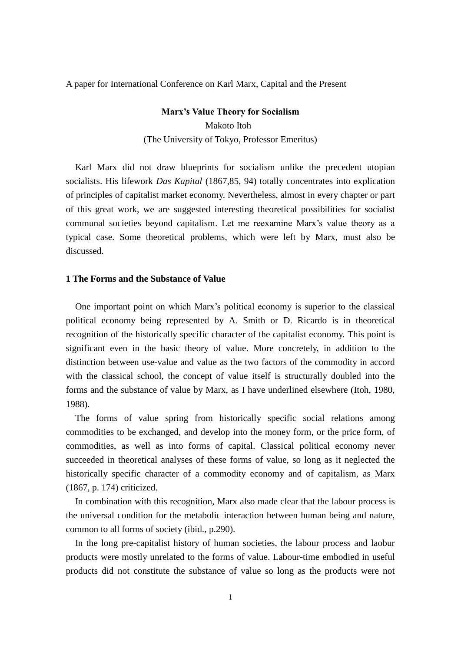A paper for International Conference on Karl Marx, Capital and the Present

**Marx's Value Theory for Socialism** Makoto Itoh (The University of Tokyo, Professor Emeritus)

 Karl Marx did not draw blueprints for socialism unlike the precedent utopian socialists. His lifework *Das Kapital* (1867,85, 94) totally concentrates into explication of principles of capitalist market economy. Nevertheless, almost in every chapter or part of this great work, we are suggested interesting theoretical possibilities for socialist communal societies beyond capitalism. Let me reexamine Marx's value theory as a typical case. Some theoretical problems, which were left by Marx, must also be discussed.

## **1 The Forms and the Substance of Value**

 One important point on which Marx's political economy is superior to the classical political economy being represented by A. Smith or D. Ricardo is in theoretical recognition of the historically specific character of the capitalist economy. This point is significant even in the basic theory of value. More concretely, in addition to the distinction between use-value and value as the two factors of the commodity in accord with the classical school, the concept of value itself is structurally doubled into the forms and the substance of value by Marx, as I have underlined elsewhere (Itoh, 1980, 1988).

 The forms of value spring from historically specific social relations among commodities to be exchanged, and develop into the money form, or the price form, of commodities, as well as into forms of capital. Classical political economy never succeeded in theoretical analyses of these forms of value, so long as it neglected the historically specific character of a commodity economy and of capitalism, as Marx (1867, p. 174) criticized.

 In combination with this recognition, Marx also made clear that the labour process is the universal condition for the metabolic interaction between human being and nature, common to all forms of society (ibid., p.290).

 In the long pre-capitalist history of human societies, the labour process and laobur products were mostly unrelated to the forms of value. Labour-time embodied in useful products did not constitute the substance of value so long as the products were not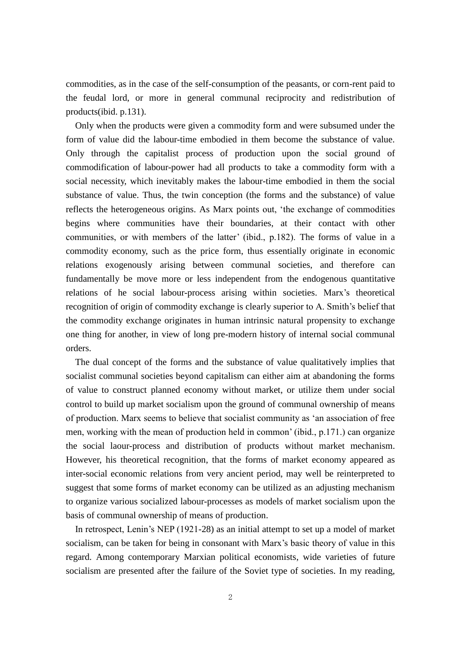commodities, as in the case of the self-consumption of the peasants, or corn-rent paid to the feudal lord, or more in general communal reciprocity and redistribution of products(ibid. p.131).

 Only when the products were given a commodity form and were subsumed under the form of value did the labour-time embodied in them become the substance of value. Only through the capitalist process of production upon the social ground of commodification of labour-power had all products to take a commodity form with a social necessity, which inevitably makes the labour-time embodied in them the social substance of value. Thus, the twin conception (the forms and the substance) of value reflects the heterogeneous origins. As Marx points out, 'the exchange of commodities begins where communities have their boundaries, at their contact with other communities, or with members of the latter' (ibid., p.182). The forms of value in a commodity economy, such as the price form, thus essentially originate in economic relations exogenously arising between communal societies, and therefore can fundamentally be move more or less independent from the endogenous quantitative relations of he social labour-process arising within societies. Marx's theoretical recognition of origin of commodity exchange is clearly superior to A. Smith's belief that the commodity exchange originates in human intrinsic natural propensity to exchange one thing for another, in view of long pre-modern history of internal social communal orders.

 The dual concept of the forms and the substance of value qualitatively implies that socialist communal societies beyond capitalism can either aim at abandoning the forms of value to construct planned economy without market, or utilize them under social control to build up market socialism upon the ground of communal ownership of means of production. Marx seems to believe that socialist community as 'an association of free men, working with the mean of production held in common' (ibid., p.171.) can organize the social laour-process and distribution of products without market mechanism. However, his theoretical recognition, that the forms of market economy appeared as inter-social economic relations from very ancient period, may well be reinterpreted to suggest that some forms of market economy can be utilized as an adjusting mechanism to organize various socialized labour-processes as models of market socialism upon the basis of communal ownership of means of production.

 In retrospect, Lenin's NEP (1921-28) as an initial attempt to set up a model of market socialism, can be taken for being in consonant with Marx's basic theory of value in this regard. Among contemporary Marxian political economists, wide varieties of future socialism are presented after the failure of the Soviet type of societies. In my reading,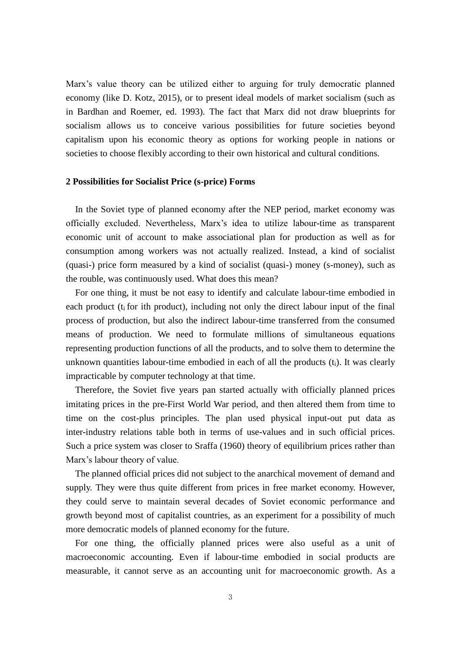Marx's value theory can be utilized either to arguing for truly democratic planned economy (like D. Kotz, 2015), or to present ideal models of market socialism (such as in Bardhan and Roemer, ed. 1993). The fact that Marx did not draw blueprints for socialism allows us to conceive various possibilities for future societies beyond capitalism upon his economic theory as options for working people in nations or societies to choose flexibly according to their own historical and cultural conditions.

## **2 Possibilities for Socialist Price (s-price) Forms**

 In the Soviet type of planned economy after the NEP period, market economy was officially excluded. Nevertheless, Marx's idea to utilize labour-time as transparent economic unit of account to make associational plan for production as well as for consumption among workers was not actually realized. Instead, a kind of socialist (quasi-) price form measured by a kind of socialist (quasi-) money (s-money), such as the rouble, was continuously used. What does this mean?

 For one thing, it must be not easy to identify and calculate labour-time embodied in each product (t<sub>i</sub> for ith product), including not only the direct labour input of the final process of production, but also the indirect labour-time transferred from the consumed means of production. We need to formulate millions of simultaneous equations representing production functions of all the products, and to solve them to determine the unknown quantities labour-time embodied in each of all the products (ti). It was clearly impracticable by computer technology at that time.

 Therefore, the Soviet five years pan started actually with officially planned prices imitating prices in the pre-First World War period, and then altered them from time to time on the cost-plus principles. The plan used physical input-out put data as inter-industry relations table both in terms of use-values and in such official prices. Such a price system was closer to Sraffa (1960) theory of equilibrium prices rather than Marx's labour theory of value.

 The planned official prices did not subject to the anarchical movement of demand and supply. They were thus quite different from prices in free market economy. However, they could serve to maintain several decades of Soviet economic performance and growth beyond most of capitalist countries, as an experiment for a possibility of much more democratic models of planned economy for the future.

For one thing, the officially planned prices were also useful as a unit of macroeconomic accounting. Even if labour-time embodied in social products are measurable, it cannot serve as an accounting unit for macroeconomic growth. As a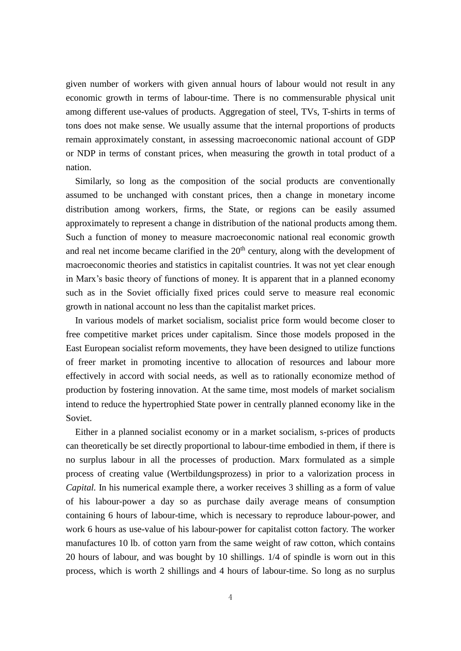given number of workers with given annual hours of labour would not result in any economic growth in terms of labour-time. There is no commensurable physical unit among different use-values of products. Aggregation of steel, TVs, T-shirts in terms of tons does not make sense. We usually assume that the internal proportions of products remain approximately constant, in assessing macroeconomic national account of GDP or NDP in terms of constant prices, when measuring the growth in total product of a nation.

Similarly, so long as the composition of the social products are conventionally assumed to be unchanged with constant prices, then a change in monetary income distribution among workers, firms, the State, or regions can be easily assumed approximately to represent a change in distribution of the national products among them. Such a function of money to measure macroeconomic national real economic growth and real net income became clarified in the  $20<sup>th</sup>$  century, along with the development of macroeconomic theories and statistics in capitalist countries. It was not yet clear enough in Marx's basic theory of functions of money. It is apparent that in a planned economy such as in the Soviet officially fixed prices could serve to measure real economic growth in national account no less than the capitalist market prices.

In various models of market socialism, socialist price form would become closer to free competitive market prices under capitalism. Since those models proposed in the East European socialist reform movements, they have been designed to utilize functions of freer market in promoting incentive to allocation of resources and labour more effectively in accord with social needs, as well as to rationally economize method of production by fostering innovation. At the same time, most models of market socialism intend to reduce the hypertrophied State power in centrally planned economy like in the Soviet.

Either in a planned socialist economy or in a market socialism, s-prices of products can theoretically be set directly proportional to labour-time embodied in them, if there is no surplus labour in all the processes of production. Marx formulated as a simple process of creating value (Wertbildungsprozess) in prior to a valorization process in *Capital.* In his numerical example there, a worker receives 3 shilling as a form of value of his labour-power a day so as purchase daily average means of consumption containing 6 hours of labour-time, which is necessary to reproduce labour-power, and work 6 hours as use-value of his labour-power for capitalist cotton factory. The worker manufactures 10 lb. of cotton yarn from the same weight of raw cotton, which contains 20 hours of labour, and was bought by 10 shillings. 1/4 of spindle is worn out in this process, which is worth 2 shillings and 4 hours of labour-time. So long as no surplus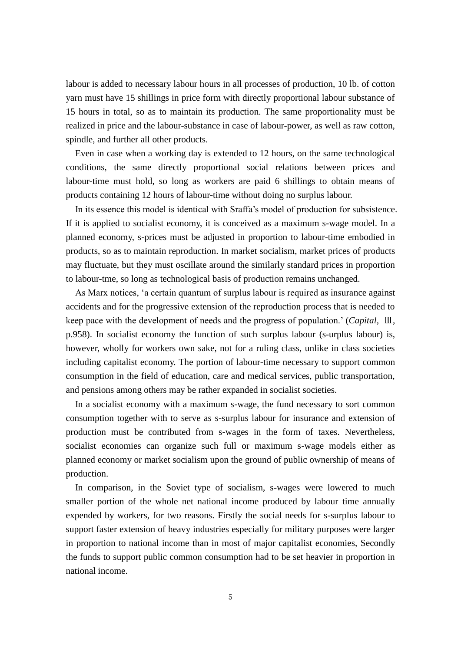labour is added to necessary labour hours in all processes of production, 10 lb. of cotton yarn must have 15 shillings in price form with directly proportional labour substance of 15 hours in total, so as to maintain its production. The same proportionality must be realized in price and the labour-substance in case of labour-power, as well as raw cotton, spindle, and further all other products.

Even in case when a working day is extended to 12 hours, on the same technological conditions, the same directly proportional social relations between prices and labour-time must hold, so long as workers are paid 6 shillings to obtain means of products containing 12 hours of labour-time without doing no surplus labour.

In its essence this model is identical with Sraffa's model of production for subsistence. If it is applied to socialist economy, it is conceived as a maximum s-wage model. In a planned economy, s-prices must be adjusted in proportion to labour-time embodied in products, so as to maintain reproduction. In market socialism, market prices of products may fluctuate, but they must oscillate around the similarly standard prices in proportion to labour-tme, so long as technological basis of production remains unchanged.

As Marx notices, 'a certain quantum of surplus labour is required as insurance against accidents and for the progressive extension of the reproduction process that is needed to keep pace with the development of needs and the progress of population.' (*Capital,* Ⅲ, p.958). In socialist economy the function of such surplus labour (s-urplus labour) is, however, wholly for workers own sake, not for a ruling class, unlike in class societies including capitalist economy. The portion of labour-time necessary to support common consumption in the field of education, care and medical services, public transportation, and pensions among others may be rather expanded in socialist societies.

In a socialist economy with a maximum s-wage, the fund necessary to sort common consumption together with to serve as s-surplus labour for insurance and extension of production must be contributed from s-wages in the form of taxes. Nevertheless, socialist economies can organize such full or maximum s-wage models either as planned economy or market socialism upon the ground of public ownership of means of production.

In comparison, in the Soviet type of socialism, s-wages were lowered to much smaller portion of the whole net national income produced by labour time annually expended by workers, for two reasons. Firstly the social needs for s-surplus labour to support faster extension of heavy industries especially for military purposes were larger in proportion to national income than in most of major capitalist economies, Secondly the funds to support public common consumption had to be set heavier in proportion in national income.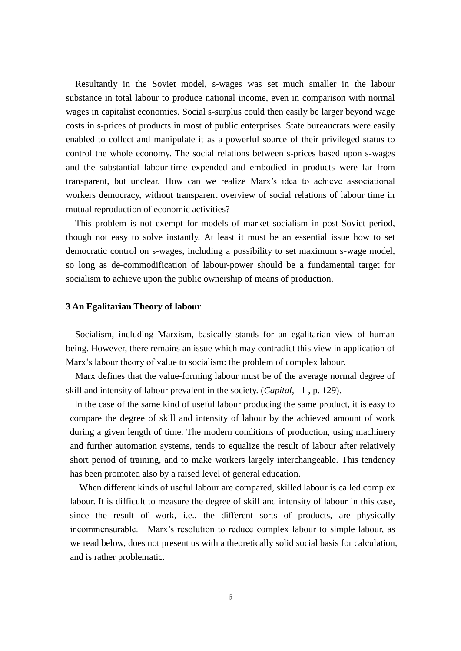Resultantly in the Soviet model, s-wages was set much smaller in the labour substance in total labour to produce national income, even in comparison with normal wages in capitalist economies. Social s-surplus could then easily be larger beyond wage costs in s-prices of products in most of public enterprises. State bureaucrats were easily enabled to collect and manipulate it as a powerful source of their privileged status to control the whole economy. The social relations between s-prices based upon s-wages and the substantial labour-time expended and embodied in products were far from transparent, but unclear. How can we realize Marx's idea to achieve associational workers democracy, without transparent overview of social relations of labour time in mutual reproduction of economic activities?

This problem is not exempt for models of market socialism in post-Soviet period, though not easy to solve instantly. At least it must be an essential issue how to set democratic control on s-wages, including a possibility to set maximum s-wage model, so long as de-commodification of labour-power should be a fundamental target for socialism to achieve upon the public ownership of means of production.

## **3 An Egalitarian Theory of labour**

Socialism, including Marxism, basically stands for an egalitarian view of human being. However, there remains an issue which may contradict this view in application of Marx's labour theory of value to socialism: the problem of complex labour.

Marx defines that the value-forming labour must be of the average normal degree of skill and intensity of labour prevalent in the society. (*Capital,* Ⅰ, p. 129).

In the case of the same kind of useful labour producing the same product, it is easy to compare the degree of skill and intensity of labour by the achieved amount of work during a given length of time. The modern conditions of production, using machinery and further automation systems, tends to equalize the result of labour after relatively short period of training, and to make workers largely interchangeable. This tendency has been promoted also by a raised level of general education.

When different kinds of useful labour are compared, skilled labour is called complex labour. It is difficult to measure the degree of skill and intensity of labour in this case, since the result of work, i.e., the different sorts of products, are physically incommensurable. Marx's resolution to reduce complex labour to simple labour, as we read below, does not present us with a theoretically solid social basis for calculation, and is rather problematic.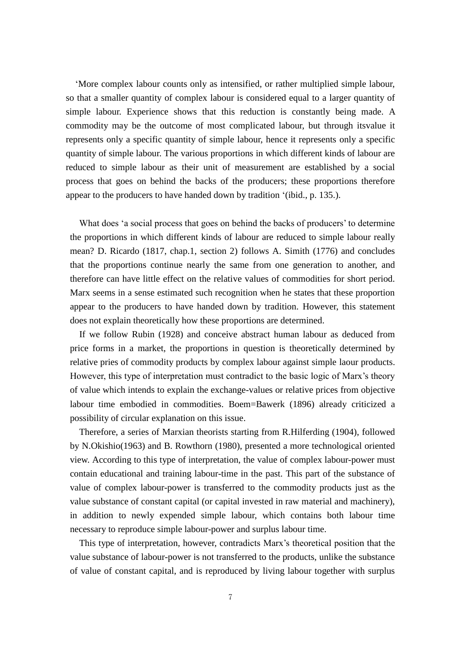'More complex labour counts only as intensified, or rather multiplied simple labour, so that a smaller quantity of complex labour is considered equal to a larger quantity of simple labour. Experience shows that this reduction is constantly being made. A commodity may be the outcome of most complicated labour, but through itsvalue it represents only a specific quantity of simple labour, hence it represents only a specific quantity of simple labour. The various proportions in which different kinds of labour are reduced to simple labour as their unit of measurement are established by a social process that goes on behind the backs of the producers; these proportions therefore appear to the producers to have handed down by tradition '(ibid., p. 135.).

What does 'a social process that goes on behind the backs of producers' to determine the proportions in which different kinds of labour are reduced to simple labour really mean? D. Ricardo (1817, chap.1, section 2) follows A. Simith (1776) and concludes that the proportions continue nearly the same from one generation to another, and therefore can have little effect on the relative values of commodities for short period. Marx seems in a sense estimated such recognition when he states that these proportion appear to the producers to have handed down by tradition. However, this statement does not explain theoretically how these proportions are determined.

If we follow Rubin (1928) and conceive abstract human labour as deduced from price forms in a market, the proportions in question is theoretically determined by relative pries of commodity products by complex labour against simple laour products. However, this type of interpretation must contradict to the basic logic of Marx's theory of value which intends to explain the exchange-values or relative prices from objective labour time embodied in commodities. Boem=Bawerk (1896) already criticized a possibility of circular explanation on this issue.

Therefore, a series of Marxian theorists starting from R.Hilferding (1904), followed by N.Okishio(1963) and B. Rowthorn (1980), presented a more technological oriented view. According to this type of interpretation, the value of complex labour-power must contain educational and training labour-time in the past. This part of the substance of value of complex labour-power is transferred to the commodity products just as the value substance of constant capital (or capital invested in raw material and machinery), in addition to newly expended simple labour, which contains both labour time necessary to reproduce simple labour-power and surplus labour time.

This type of interpretation, however, contradicts Marx's theoretical position that the value substance of labour-power is not transferred to the products, unlike the substance of value of constant capital, and is reproduced by living labour together with surplus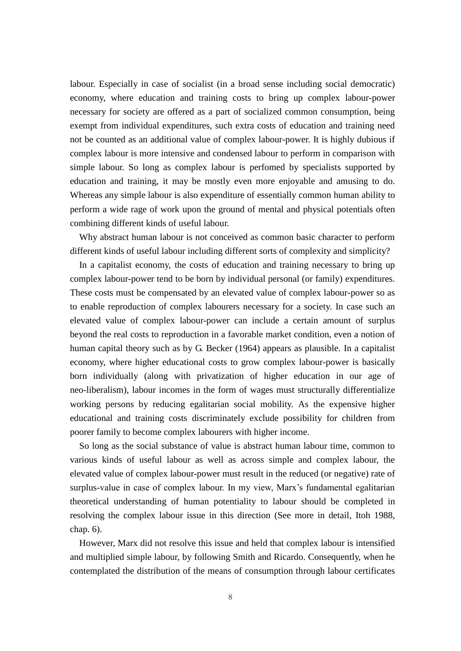labour. Especially in case of socialist (in a broad sense including social democratic) economy, where education and training costs to bring up complex labour-power necessary for society are offered as a part of socialized common consumption, being exempt from individual expenditures, such extra costs of education and training need not be counted as an additional value of complex labour-power. It is highly dubious if complex labour is more intensive and condensed labour to perform in comparison with simple labour. So long as complex labour is perfomed by specialists supported by education and training, it may be mostly even more enjoyable and amusing to do. Whereas any simple labour is also expenditure of essentially common human ability to perform a wide rage of work upon the ground of mental and physical potentials often combining different kinds of useful labour.

Why abstract human labour is not conceived as common basic character to perform different kinds of useful labour including different sorts of complexity and simplicity?

In a capitalist economy, the costs of education and training necessary to bring up complex labour-power tend to be born by individual personal (or family) expenditures. These costs must be compensated by an elevated value of complex labour-power so as to enable reproduction of complex labourers necessary for a society. In case such an elevated value of complex labour-power can include a certain amount of surplus beyond the real costs to reproduction in a favorable market condition, even a notion of human capital theory such as by G. Becker (1964) appears as plausible. In a capitalist economy, where higher educational costs to grow complex labour-power is basically born individually (along with privatization of higher education in our age of neo-liberalism), labour incomes in the form of wages must structurally differentialize working persons by reducing egalitarian social mobility. As the expensive higher educational and training costs discriminately exclude possibility for children from poorer family to become complex labourers with higher income.

So long as the social substance of value is abstract human labour time, common to various kinds of useful labour as well as across simple and complex labour, the elevated value of complex labour-power must result in the reduced (or negative) rate of surplus-value in case of complex labour. In my view, Marx's fundamental egalitarian theoretical understanding of human potentiality to labour should be completed in resolving the complex labour issue in this direction (See more in detail, Itoh 1988, chap. 6).

However, Marx did not resolve this issue and held that complex labour is intensified and multiplied simple labour, by following Smith and Ricardo. Consequently, when he contemplated the distribution of the means of consumption through labour certificates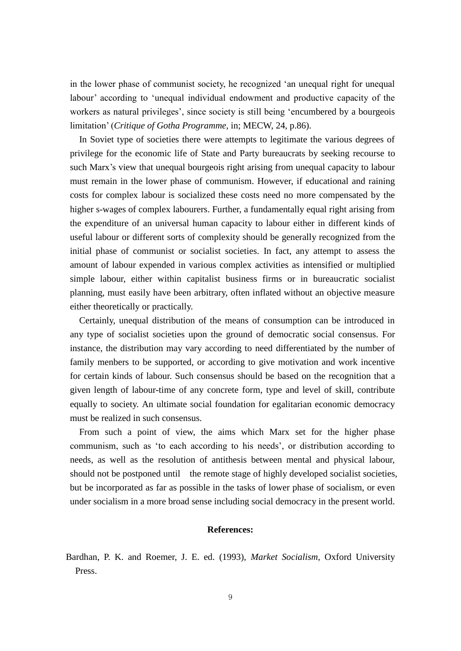in the lower phase of communist society, he recognized 'an unequal right for unequal labour' according to 'unequal individual endowment and productive capacity of the workers as natural privileges', since society is still being 'encumbered by a bourgeois limitation' (*Critique of Gotha Programme,* in; MECW, 24, p.86).

In Soviet type of societies there were attempts to legitimate the various degrees of privilege for the economic life of State and Party bureaucrats by seeking recourse to such Marx's view that unequal bourgeois right arising from unequal capacity to labour must remain in the lower phase of communism. However, if educational and raining costs for complex labour is socialized these costs need no more compensated by the higher s-wages of complex labourers. Further, a fundamentally equal right arising from the expenditure of an universal human capacity to labour either in different kinds of useful labour or different sorts of complexity should be generally recognized from the initial phase of communist or socialist societies. In fact, any attempt to assess the amount of labour expended in various complex activities as intensified or multiplied simple labour, either within capitalist business firms or in bureaucratic socialist planning, must easily have been arbitrary, often inflated without an objective measure either theoretically or practically.

Certainly, unequal distribution of the means of consumption can be introduced in any type of socialist societies upon the ground of democratic social consensus. For instance, the distribution may vary according to need differentiated by the number of family menbers to be supported, or according to give motivation and work incentive for certain kinds of labour. Such consensus should be based on the recognition that a given length of labour-time of any concrete form, type and level of skill, contribute equally to society. An ultimate social foundation for egalitarian economic democracy must be realized in such consensus.

From such a point of view, the aims which Marx set for the higher phase communism, such as 'to each according to his needs', or distribution according to needs, as well as the resolution of antithesis between mental and physical labour, should not be postponed until the remote stage of highly developed socialist societies, but be incorporated as far as possible in the tasks of lower phase of socialism, or even under socialism in a more broad sense including social democracy in the present world.

## **References:**

Bardhan, P. K. and Roemer, J. E. ed. (1993), *Market Socialism,* Oxford University Press.